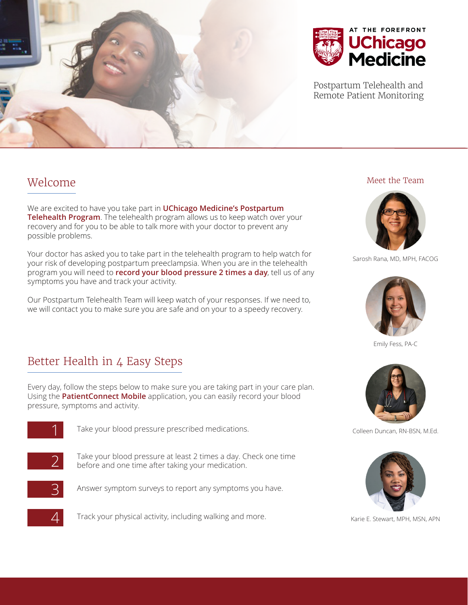



Postpartum Telehealth and Remote Patient Monitoring

#### Welcome

We are excited to have you take part in **UChicago Medicine's Postpartum Telehealth Program**. The telehealth program allows us to keep watch over your recovery and for you to be able to talk more with your doctor to prevent any possible problems.

Your doctor has asked you to take part in the telehealth program to help watch for your risk of developing postpartum preeclampsia. When you are in the telehealth program you will need to **record your blood pressure 2 times a day**, tell us of any symptoms you have and track your activity.

Our Postpartum Telehealth Team will keep watch of your responses. If we need to, we will contact you to make sure you are safe and on your to a speedy recovery.

## Better Health in 4 Easy Steps

Every day, follow the steps below to make sure you are taking part in your care plan. Using the **PatientConnect Mobile** application, you can easily record your blood pressure, symptoms and activity.



Take your blood pressure prescribed medications.



2 Take your blood pressure at least 2 times a day. Check one time before and one time after taking your medication.



Answer symptom surveys to report any symptoms you have.

Track your physical activity, including walking and more.

#### Meet the Team



Sarosh Rana, MD, MPH, FACOG



Emily Fess, PA-C



Colleen Duncan, RN-BSN, M.Ed.



Karie E. Stewart, MPH, MSN, APN